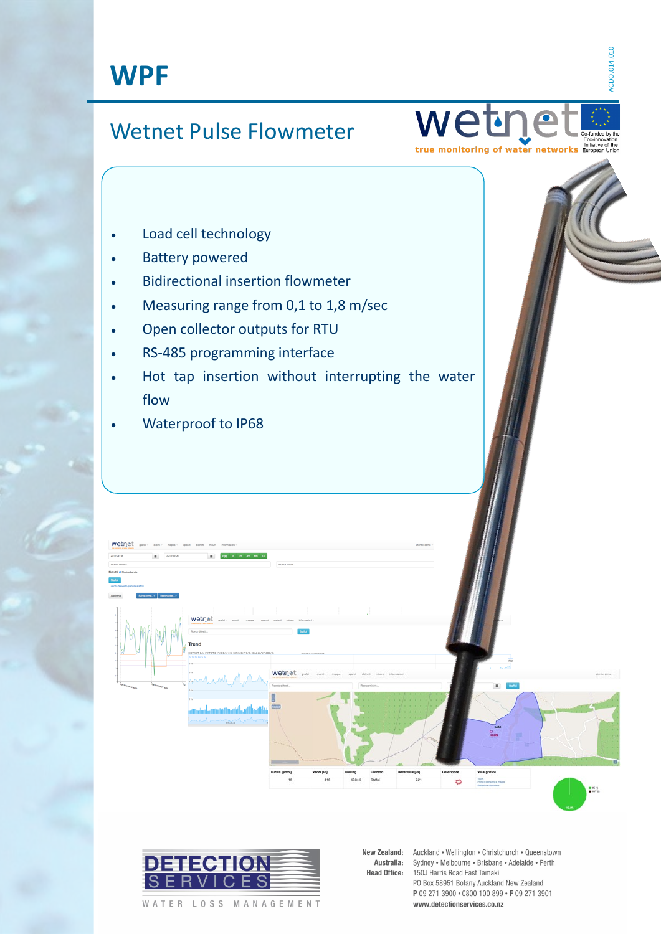

# Wetnet Pulse Flowmeter

wetr true monitoring of water networ

ACDO.014.010

CDO.014.010

- Load cell technology
- Battery powered
- **•** Bidirectional insertion flowmeter
- Measuring range from 0,1 to 1,8 m/sec
- Open collector outputs for RTU
- RS-485 programming interface
- Hot tap insertion without interrupting the water flow
- Waterproof to IP68





New Zealand: Australia: **Head Office:** 

Auckland • Wellington • Christchurch • Queenstown Sydney • Melbourne • Brisbane • Adelaide • Perth 150J Harris Road East Tamaki PO Box 58951 Botany Auckland New Zealand **www.detectionservices.co.nz**<br>
WATER LOSS MANAGEMENT www.detectionservices.co.nz